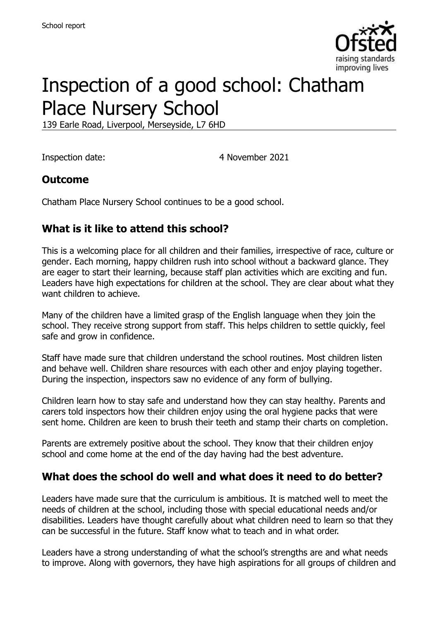

# Inspection of a good school: Chatham Place Nursery School

139 Earle Road, Liverpool, Merseyside, L7 6HD

Inspection date: 4 November 2021

#### **Outcome**

Chatham Place Nursery School continues to be a good school.

#### **What is it like to attend this school?**

This is a welcoming place for all children and their families, irrespective of race, culture or gender. Each morning, happy children rush into school without a backward glance. They are eager to start their learning, because staff plan activities which are exciting and fun. Leaders have high expectations for children at the school. They are clear about what they want children to achieve.

Many of the children have a limited grasp of the English language when they join the school. They receive strong support from staff. This helps children to settle quickly, feel safe and grow in confidence.

Staff have made sure that children understand the school routines. Most children listen and behave well. Children share resources with each other and enjoy playing together. During the inspection, inspectors saw no evidence of any form of bullying.

Children learn how to stay safe and understand how they can stay healthy. Parents and carers told inspectors how their children enjoy using the oral hygiene packs that were sent home. Children are keen to brush their teeth and stamp their charts on completion.

Parents are extremely positive about the school. They know that their children enjoy school and come home at the end of the day having had the best adventure.

#### **What does the school do well and what does it need to do better?**

Leaders have made sure that the curriculum is ambitious. It is matched well to meet the needs of children at the school, including those with special educational needs and/or disabilities. Leaders have thought carefully about what children need to learn so that they can be successful in the future. Staff know what to teach and in what order.

Leaders have a strong understanding of what the school's strengths are and what needs to improve. Along with governors, they have high aspirations for all groups of children and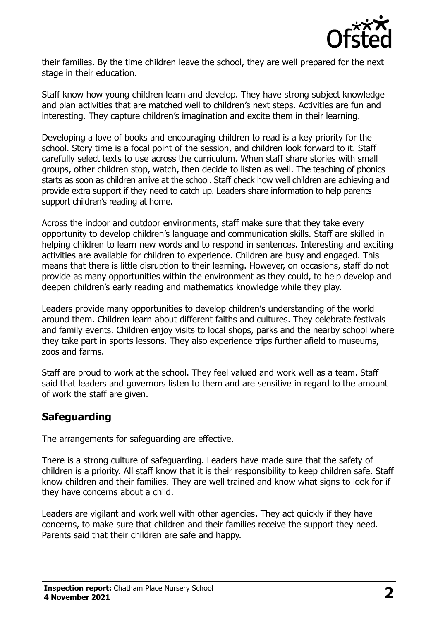

their families. By the time children leave the school, they are well prepared for the next stage in their education.

Staff know how young children learn and develop. They have strong subject knowledge and plan activities that are matched well to children's next steps. Activities are fun and interesting. They capture children's imagination and excite them in their learning.

Developing a love of books and encouraging children to read is a key priority for the school. Story time is a focal point of the session, and children look forward to it. Staff carefully select texts to use across the curriculum. When staff share stories with small groups, other children stop, watch, then decide to listen as well. The teaching of phonics starts as soon as children arrive at the school. Staff check how well children are achieving and provide extra support if they need to catch up. Leaders share information to help parents support children's reading at home.

Across the indoor and outdoor environments, staff make sure that they take every opportunity to develop children's language and communication skills. Staff are skilled in helping children to learn new words and to respond in sentences. Interesting and exciting activities are available for children to experience. Children are busy and engaged. This means that there is little disruption to their learning. However, on occasions, staff do not provide as many opportunities within the environment as they could, to help develop and deepen children's early reading and mathematics knowledge while they play.

Leaders provide many opportunities to develop children's understanding of the world around them. Children learn about different faiths and cultures. They celebrate festivals and family events. Children enjoy visits to local shops, parks and the nearby school where they take part in sports lessons. They also experience trips further afield to museums, zoos and farms.

Staff are proud to work at the school. They feel valued and work well as a team. Staff said that leaders and governors listen to them and are sensitive in regard to the amount of work the staff are given.

#### **Safeguarding**

The arrangements for safeguarding are effective.

There is a strong culture of safeguarding. Leaders have made sure that the safety of children is a priority. All staff know that it is their responsibility to keep children safe. Staff know children and their families. They are well trained and know what signs to look for if they have concerns about a child.

Leaders are vigilant and work well with other agencies. They act quickly if they have concerns, to make sure that children and their families receive the support they need. Parents said that their children are safe and happy.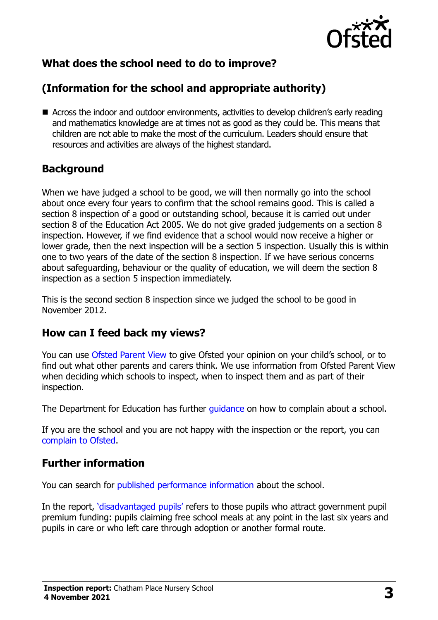

# **What does the school need to do to improve?**

# **(Information for the school and appropriate authority)**

■ Across the indoor and outdoor environments, activities to develop children's early reading and mathematics knowledge are at times not as good as they could be. This means that children are not able to make the most of the curriculum. Leaders should ensure that resources and activities are always of the highest standard.

#### **Background**

When we have judged a school to be good, we will then normally go into the school about once every four years to confirm that the school remains good. This is called a section 8 inspection of a good or outstanding school, because it is carried out under section 8 of the Education Act 2005. We do not give graded judgements on a section 8 inspection. However, if we find evidence that a school would now receive a higher or lower grade, then the next inspection will be a section 5 inspection. Usually this is within one to two years of the date of the section 8 inspection. If we have serious concerns about safeguarding, behaviour or the quality of education, we will deem the section 8 inspection as a section 5 inspection immediately.

This is the second section 8 inspection since we judged the school to be good in November 2012.

## **How can I feed back my views?**

You can use [Ofsted Parent View](https://parentview.ofsted.gov.uk/) to give Ofsted your opinion on your child's school, or to find out what other parents and carers think. We use information from Ofsted Parent View when deciding which schools to inspect, when to inspect them and as part of their inspection.

The Department for Education has further quidance on how to complain about a school.

If you are the school and you are not happy with the inspection or the report, you can [complain to Ofsted.](https://www.gov.uk/complain-ofsted-report)

#### **Further information**

You can search for [published performance information](http://www.compare-school-performance.service.gov.uk/) about the school.

In the report, '[disadvantaged pupils](http://www.gov.uk/guidance/pupil-premium-information-for-schools-and-alternative-provision-settings)' refers to those pupils who attract government pupil premium funding: pupils claiming free school meals at any point in the last six years and pupils in care or who left care through adoption or another formal route.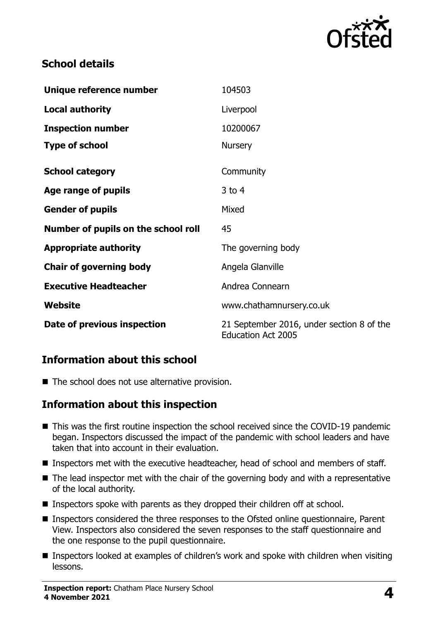

### **School details**

| Unique reference number             | 104503                                                                 |
|-------------------------------------|------------------------------------------------------------------------|
| <b>Local authority</b>              | Liverpool                                                              |
| <b>Inspection number</b>            | 10200067                                                               |
| <b>Type of school</b>               | <b>Nursery</b>                                                         |
| <b>School category</b>              | Community                                                              |
| Age range of pupils                 | $3$ to $4$                                                             |
| <b>Gender of pupils</b>             | Mixed                                                                  |
| Number of pupils on the school roll | 45                                                                     |
| <b>Appropriate authority</b>        | The governing body                                                     |
| <b>Chair of governing body</b>      | Angela Glanville                                                       |
| <b>Executive Headteacher</b>        | Andrea Connearn                                                        |
| Website                             | www.chathamnursery.co.uk                                               |
| Date of previous inspection         | 21 September 2016, under section 8 of the<br><b>Education Act 2005</b> |

#### **Information about this school**

■ The school does not use alternative provision.

#### **Information about this inspection**

- This was the first routine inspection the school received since the COVID-19 pandemic began. Inspectors discussed the impact of the pandemic with school leaders and have taken that into account in their evaluation.
- Inspectors met with the executive headteacher, head of school and members of staff.
- The lead inspector met with the chair of the governing body and with a representative of the local authority.
- **Inspectors spoke with parents as they dropped their children off at school.**
- Inspectors considered the three responses to the Ofsted online questionnaire, Parent View. Inspectors also considered the seven responses to the staff questionnaire and the one response to the pupil questionnaire.
- Inspectors looked at examples of children's work and spoke with children when visiting lessons.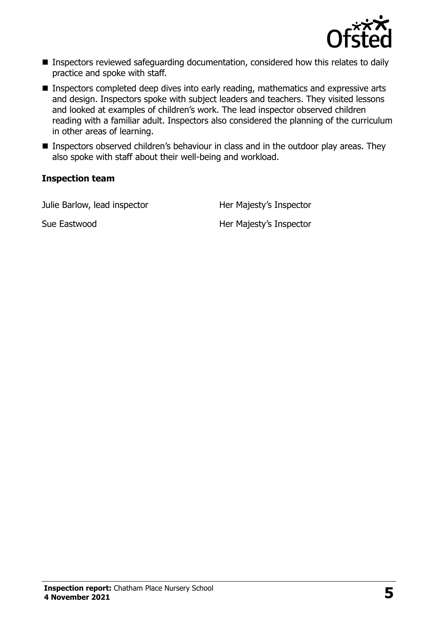

- Inspectors reviewed safeguarding documentation, considered how this relates to daily practice and spoke with staff.
- Inspectors completed deep dives into early reading, mathematics and expressive arts and design. Inspectors spoke with subject leaders and teachers. They visited lessons and looked at examples of children's work. The lead inspector observed children reading with a familiar adult. Inspectors also considered the planning of the curriculum in other areas of learning.
- **Inspectors observed children's behaviour in class and in the outdoor play areas. They** also spoke with staff about their well-being and workload.

#### **Inspection team**

Julie Barlow, lead inspector **Her Majesty's Inspector** 

Sue Eastwood **Her Majesty's Inspector**